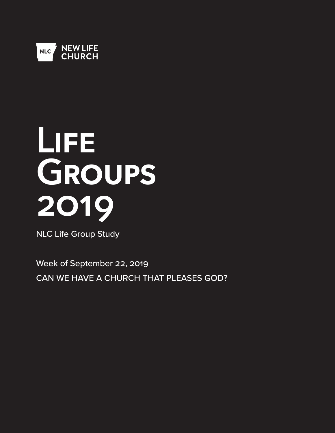

# **Life Groups 2019**

NLC Life Group Study

Week of September 22, 2019 CAN WE HAVE A CHURCH THAT PLEASES GOD?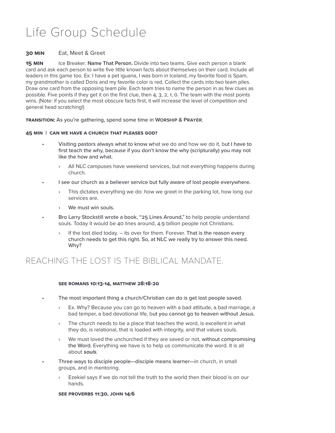## Life Group Schedule

#### **30 Min** Eat, Meet & Greet

**15 MIN** Ice Breaker: **Name That Person.** Divide into two teams. Give each person a blank card and ask each person to write five little known facts about themselves on their card. Include all leaders in this game too. Ex: I have a pet iguana, I was born in Iceland, my favorite food is Spam, my grandmother is called Doris and my favorite color is red. Collect the cards into two team piles. Draw one card from the opposing team pile. Each team tries to name the person in as few clues as possible. Five points if they get it on the first clue, then 4, 3, 2, 1, 0. The team with the most points wins. (Note: if you select the most obscure facts first, it will increase the level of competition and general head scratching!)

**Transition:** As you're gathering, spend some time in **Worship & Prayer**.

#### **45 Min | CAN WE HAVE A CHURCH THAT PLEASES GOD?**

- Visiting pastors always what to know what we do and how we do it, but I have to first teach the why, because if you don't know the why (scripturally) you may not like the how and what.
	- All NLC campuses have weekend services, but not everything happens during church.
- I see our church as a believer service but fully aware of lost people everywhere.
	- This dictates everything we do: how we greet in the parking lot, how long our services are.
	- We must win souls.
- Bro Larry Stockstill wrote a book, "25 Lines Around," to help people understand souls. Today it would be 40 lines around, 4.9 billion people not Christians.
	- If the lost died today. its over for them. Forever. That is the reason every church needs to get this right. So, at NLC we really try to answer this need. Why?

## REACHING THE LOST IS THE BIBLICAL MANDATE.

#### **See Romans 10:13-14, Matthew 28:18-20**

- The most important thing a church/Christian can do is get lost people saved.
	- Ex. Why? Because you can go to heaven with a bad attitude, a bad marriage, a bad temper, a bad devotional life, but you cannot go to heaven without Jesus.
	- › The church needs to be a place that teaches the word, is excellent in what they do, is relational, that is loaded with integrity, and that values souls.
	- We must loved the unchurched if they are saved or not, without compromising the Word. Everything we have is to help us communicate the word. It is all about **souls**.
- Three ways to disciple people—disciple means learner—in church, in small groups, and in mentoring.
	- Ezekiel says if we do not tell the truth to the world then their blood is on our hands.

#### **See Proverbs 11:30, John 14:6**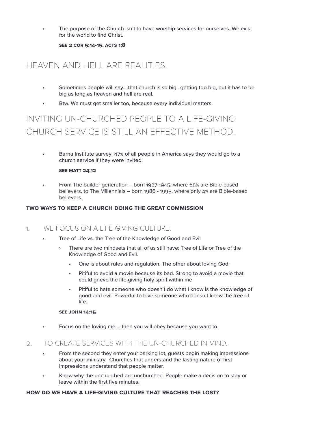The purpose of the Church isn't to have worship services for ourselves. We exist for the world to find Christ.

**See 2 cor 5:14-15, Acts 1:8**

## HEAVEN AND HELL ARE REALITIES.

- Sometimes people will say….that church is so big…getting too big, but it has to be big as long as heaven and hell are real.
- Btw. We must get smaller too, because every individual matters.

## INVITING UN-CHURCHED PEOPLE TO A LIFE-GIVING CHURCH SERVICE IS STILL AN EFFECTIVE METHOD.

• Barna Institute survey: 47% of all people in America says they would go to a church service if they were invited.

#### **See Matt 24:12**

• From The builder generation – born 1927-1945, where 65% are Bible-based believers, to The Millennials – born 1986 - 1995, where only 4% are Bible-based believers.

#### **Two ways to keep a church doing the great commission**

#### 1. WE FOCUS ON A LIFE-GIVING CULTURE.

- Tree of Life vs. the Tree of the Knowledge of Good and Evil
	- › There are two mindsets that all of us still have: Tree of Life or Tree of the Knowledge of Good and Evil.
		- One is about rules and regulation. The other about loving God.
		- Pitiful to avoid a movie because its bad. Strong to avoid a movie that could grieve the life giving holy spirit within me
		- Pitiful to hate someone who doesn't do what I know is the knowledge of good and evil. Powerful to love someone who doesn't know the tree of life.

#### **See John 14:15**

• Focus on the loving me…..then you will obey because you want to.

#### 2. TO CREATE SERVICES WITH THE UN-CHURCHED IN MIND.

- From the second they enter your parking lot, guests begin making impressions about your ministry. Churches that understand the lasting nature of first impressions understand that people matter.
- Know why the unchurched are unchurched. People make a decision to stay or leave within the first five minutes.

#### **HOW DO WE HAVE A LIFE-GIVING CULTURE THAT REACHES THE LOST?**